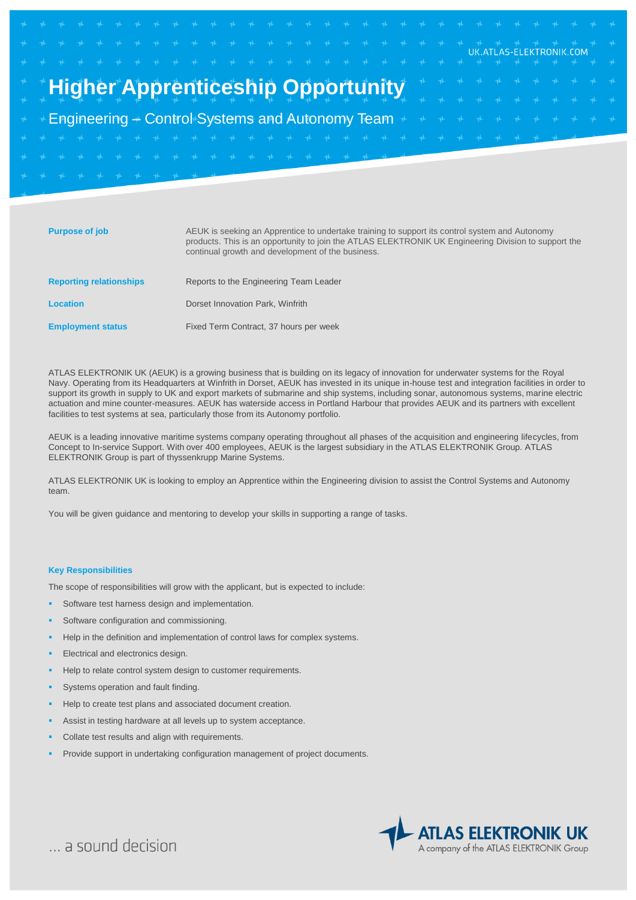# **Higher Apprenticeship Opportunity**

Engineering – Control Systems and Autonomy Team

| <b>Purpose of job</b>          | AEUK is seeking an Apprentice to undertake training to support its control system and Autonomy<br>products. This is an opportunity to join the ATLAS ELEKTRONIK UK Engineering Division to support the<br>continual growth and development of the business. |
|--------------------------------|-------------------------------------------------------------------------------------------------------------------------------------------------------------------------------------------------------------------------------------------------------------|
| <b>Reporting relationships</b> | Reports to the Engineering Team Leader                                                                                                                                                                                                                      |
| <b>Location</b>                | Dorset Innovation Park, Winfrith                                                                                                                                                                                                                            |
| <b>Employment status</b>       | Fixed Term Contract, 37 hours per week                                                                                                                                                                                                                      |

ATLAS ELEKTRONIK UK (AEUK) is a growing business that is building on its legacy of innovation for underwater systems for the Royal Navy. Operating from its Headquarters at Winfrith in Dorset, AEUK has invested in its unique in-house test and integration facilities in order to support its growth in supply to UK and export markets of submarine and ship systems, including sonar, autonomous systems, marine electric actuation and mine counter-measures. AEUK has waterside access in Portland Harbour that provides AEUK and its partners with excellent facilities to test systems at sea, particularly those from its Autonomy portfolio.

AEUK is a leading innovative maritime systems company operating throughout all phases of the acquisition and engineering lifecycles, from Concept to In-service Support. With over 400 employees, AEUK is the largest subsidiary in the ATLAS ELEKTRONIK Group. ATLAS ELEKTRONIK Group is part of thyssenkrupp Marine Systems.

ATLAS ELEKTRONIK UK is looking to employ an Apprentice within the Engineering division to assist the Control Systems and Autonomy team.

You will be given guidance and mentoring to develop your skills in supporting a range of tasks.

#### **Key Responsibilities**

The scope of responsibilities will grow with the applicant, but is expected to include:

- Software test harness design and implementation.
- Software configuration and commissioning.
- Help in the definition and implementation of control laws for complex systems.
- Electrical and electronics design.
- Help to relate control system design to customer requirements.
- Systems operation and fault finding.
- Help to create test plans and associated document creation.
- Assist in testing hardware at all levels up to system acceptance.
- Collate test results and align with requirements.
- Provide support in undertaking configuration management of project documents.



UK.ATLAS-ELEKTRONIK.COM

... a sound decision